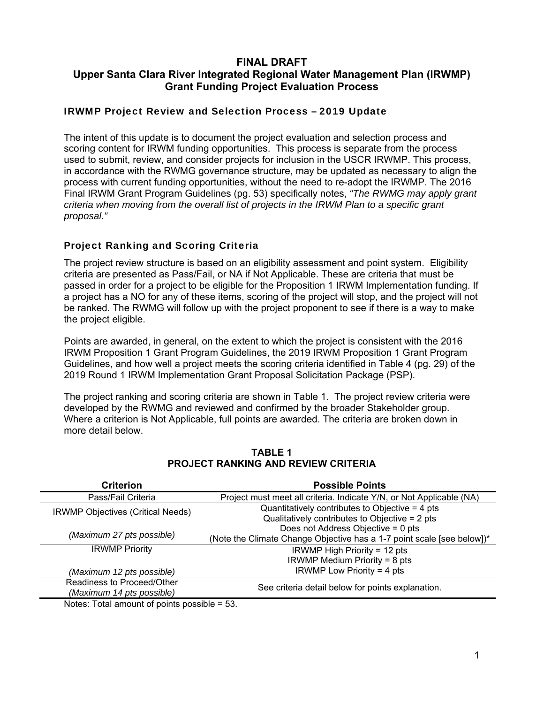## **FINAL DRAFT Upper Santa Clara River Integrated Regional Water Management Plan (IRWMP) Grant Funding Project Evaluation Process**

#### IRWMP Project Review and Selection Process – 2019 Update

The intent of this update is to document the project evaluation and selection process and scoring content for IRWM funding opportunities. This process is separate from the process used to submit, review, and consider projects for inclusion in the USCR IRWMP. This process, in accordance with the RWMG governance structure, may be updated as necessary to align the process with current funding opportunities, without the need to re-adopt the IRWMP. The 2016 Final IRWM Grant Program Guidelines (pg. 53) specifically notes, *"The RWMG may apply grant criteria when moving from the overall list of projects in the IRWM Plan to a specific grant proposal."* 

### Project Ranking and Scoring Criteria

The project review structure is based on an eligibility assessment and point system. Eligibility criteria are presented as Pass/Fail, or NA if Not Applicable. These are criteria that must be passed in order for a project to be eligible for the Proposition 1 IRWM Implementation funding. If a project has a NO for any of these items, scoring of the project will stop, and the project will not be ranked. The RWMG will follow up with the project proponent to see if there is a way to make the project eligible.

Points are awarded, in general, on the extent to which the project is consistent with the 2016 IRWM Proposition 1 Grant Program Guidelines, the 2019 IRWM Proposition 1 Grant Program Guidelines, and how well a project meets the scoring criteria identified in Table 4 (pg. 29) of the 2019 Round 1 IRWM Implementation Grant Proposal Solicitation Package (PSP).

The project ranking and scoring criteria are shown in Table 1. The project review criteria were developed by the RWMG and reviewed and confirmed by the broader Stakeholder group. Where a criterion is Not Applicable, full points are awarded. The criteria are broken down in more detail below.

| <b>Criterion</b>                                                                     | <b>Possible Points</b>                                                 |  |
|--------------------------------------------------------------------------------------|------------------------------------------------------------------------|--|
| Pass/Fail Criteria                                                                   | Project must meet all criteria. Indicate Y/N, or Not Applicable (NA)   |  |
| <b>IRWMP Objectives (Critical Needs)</b>                                             | Quantitatively contributes to Objective $=$ 4 pts                      |  |
|                                                                                      | Qualitatively contributes to Objective = 2 pts                         |  |
|                                                                                      | Does not Address Objective = 0 pts                                     |  |
| (Maximum 27 pts possible)                                                            | (Note the Climate Change Objective has a 1-7 point scale [see below])* |  |
| <b>IRWMP Priority</b>                                                                | IRWMP High Priority = 12 pts                                           |  |
|                                                                                      | IRWMP Medium Priority = 8 pts                                          |  |
| (Maximum 12 pts possible)                                                            | IRWMP Low Priority = 4 pts                                             |  |
| Readiness to Proceed/Other                                                           | See criteria detail below for points explanation.                      |  |
| (Maximum 14 pts possible)                                                            |                                                                        |  |
| <b>All and <math>\tau</math></b> and all and a set of a state of a set of the $\tau$ |                                                                        |  |

#### **TABLE 1 PROJECT RANKING AND REVIEW CRITERIA**

Notes: Total amount of points possible = 53.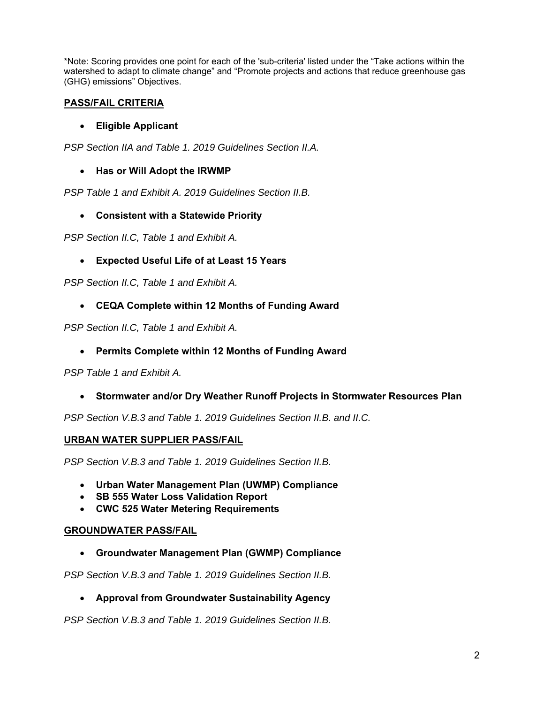\*Note: Scoring provides one point for each of the 'sub-criteria' listed under the "Take actions within the watershed to adapt to climate change" and "Promote projects and actions that reduce greenhouse gas (GHG) emissions" Objectives.

## **PASS/FAIL CRITERIA**

# **Eligible Applicant**

*PSP Section IIA and Table 1. 2019 Guidelines Section II.A.* 

## **Has or Will Adopt the IRWMP**

*PSP Table 1 and Exhibit A. 2019 Guidelines Section II.B.* 

### **Consistent with a Statewide Priority**

*PSP Section II.C, Table 1 and Exhibit A.* 

# **Expected Useful Life of at Least 15 Years**

*PSP Section II.C, Table 1 and Exhibit A.* 

# **CEQA Complete within 12 Months of Funding Award**

*PSP Section II.C, Table 1 and Exhibit A.* 

### **Permits Complete within 12 Months of Funding Award**

*PSP Table 1 and Exhibit A.* 

### **Stormwater and/or Dry Weather Runoff Projects in Stormwater Resources Plan**

*PSP Section V.B.3 and Table 1. 2019 Guidelines Section II.B. and II.C.* 

### **URBAN WATER SUPPLIER PASS/FAIL**

*PSP Section V.B.3 and Table 1. 2019 Guidelines Section II.B.* 

- **Urban Water Management Plan (UWMP) Compliance**
- **SB 555 Water Loss Validation Report**
- **CWC 525 Water Metering Requirements**

#### **GROUNDWATER PASS/FAIL**

**Groundwater Management Plan (GWMP) Compliance** 

*PSP Section V.B.3 and Table 1. 2019 Guidelines Section II.B.* 

### **Approval from Groundwater Sustainability Agency**

*PSP Section V.B.3 and Table 1. 2019 Guidelines Section II.B.*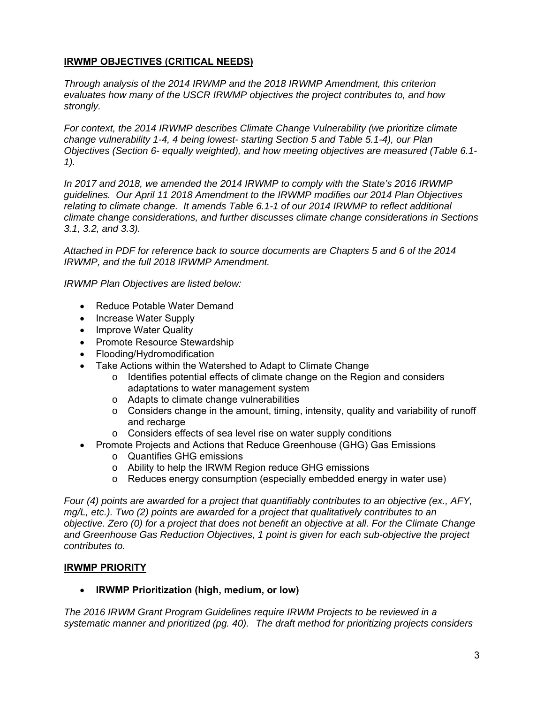#### **IRWMP OBJECTIVES (CRITICAL NEEDS)**

*Through analysis of the 2014 IRWMP and the 2018 IRWMP Amendment, this criterion evaluates how many of the USCR IRWMP objectives the project contributes to, and how strongly.* 

*For context, the 2014 IRWMP describes Climate Change Vulnerability (we prioritize climate change vulnerability 1-4, 4 being lowest- starting Section 5 and Table 5.1-4), our Plan Objectives (Section 6- equally weighted), and how meeting objectives are measured (Table 6.1- 1).* 

*In 2017 and 2018, we amended the 2014 IRWMP to comply with the State's 2016 IRWMP guidelines. Our April 11 2018 Amendment to the IRWMP modifies our 2014 Plan Objectives relating to climate change. It amends Table 6.1-1 of our 2014 IRWMP to reflect additional climate change considerations, and further discusses climate change considerations in Sections 3.1, 3.2, and 3.3).* 

*Attached in PDF for reference back to source documents are Chapters 5 and 6 of the 2014 IRWMP, and the full 2018 IRWMP Amendment.* 

*IRWMP Plan Objectives are listed below:* 

- Reduce Potable Water Demand
- Increase Water Supply
- Improve Water Quality
- Promote Resource Stewardship
- Flooding/Hydromodification
- Take Actions within the Watershed to Adapt to Climate Change
	- o Identifies potential effects of climate change on the Region and considers adaptations to water management system
	- o Adapts to climate change vulnerabilities
	- $\circ$  Considers change in the amount, timing, intensity, quality and variability of runoff and recharge
	- o Considers effects of sea level rise on water supply conditions
- Promote Projects and Actions that Reduce Greenhouse (GHG) Gas Emissions
	- o Quantifies GHG emissions
	- o Ability to help the IRWM Region reduce GHG emissions
	- o Reduces energy consumption (especially embedded energy in water use)

*Four (4) points are awarded for a project that quantifiably contributes to an objective (ex., AFY, mg/L, etc.). Two (2) points are awarded for a project that qualitatively contributes to an objective. Zero (0) for a project that does not benefit an objective at all. For the Climate Change and Greenhouse Gas Reduction Objectives, 1 point is given for each sub-objective the project contributes to.* 

#### **IRWMP PRIORITY**

**IRWMP Prioritization (high, medium, or low)** 

*The 2016 IRWM Grant Program Guidelines require IRWM Projects to be reviewed in a systematic manner and prioritized (pg. 40). The draft method for prioritizing projects considers*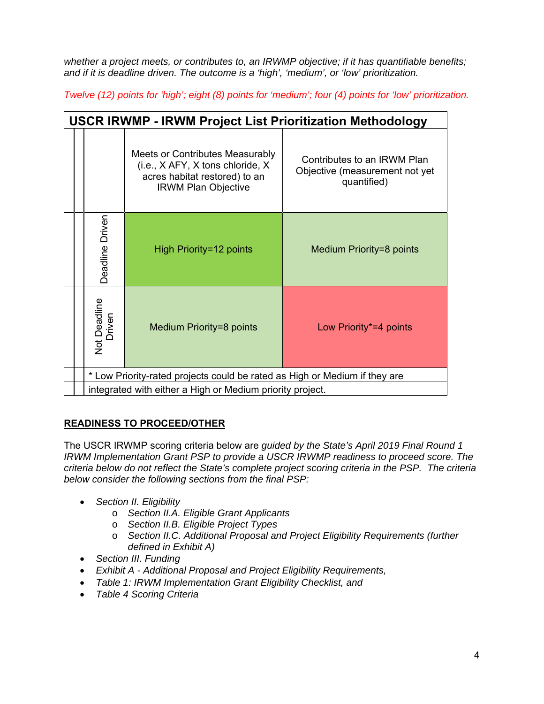*whether a project meets, or contributes to, an IRWMP objective; if it has quantifiable benefits; and if it is deadline driven. The outcome is a 'high', 'medium', or 'low' prioritization.* 

*Twelve (12) points for 'high'; eight (8) points for 'medium'; four (4) points for 'low' prioritization.* 

| <b>USCR IRWMP - IRWM Project List Prioritization Methodology</b> |                                                                            |                                                                                                                                    |                                                                              |  |
|------------------------------------------------------------------|----------------------------------------------------------------------------|------------------------------------------------------------------------------------------------------------------------------------|------------------------------------------------------------------------------|--|
|                                                                  |                                                                            | Meets or Contributes Measurably<br>(i.e., X AFY, X tons chloride, X<br>acres habitat restored) to an<br><b>IRWM Plan Objective</b> | Contributes to an IRWM Plan<br>Objective (measurement not yet<br>quantified) |  |
|                                                                  | Deadline Driven                                                            | High Priority=12 points                                                                                                            | Medium Priority=8 points                                                     |  |
|                                                                  | Not Deadline<br>Driven                                                     | Medium Priority=8 points                                                                                                           | Low Priority*=4 points                                                       |  |
|                                                                  | * Low Priority-rated projects could be rated as High or Medium if they are |                                                                                                                                    |                                                                              |  |
|                                                                  | integrated with either a High or Medium priority project.                  |                                                                                                                                    |                                                                              |  |

# **READINESS TO PROCEED/OTHER**

The USCR IRWMP scoring criteria below are *guided by the State's April 2019 Final Round 1 IRWM Implementation Grant PSP to provide a USCR IRWMP readiness to proceed score. The criteria below do not reflect the State's complete project scoring criteria in the PSP. The criteria below consider the following sections from the final PSP:* 

- *Section II. Eligibility*
	- o *Section II.A. Eligible Grant Applicants*
	- o *Section II.B. Eligible Project Types*
	- o *Section II.C. Additional Proposal and Project Eligibility Requirements (further defined in Exhibit A)*
- *Section III. Funding*
- *Exhibit A Additional Proposal and Project Eligibility Requirements,*
- *Table 1: IRWM Implementation Grant Eligibility Checklist, and*
- *Table 4 Scoring Criteria*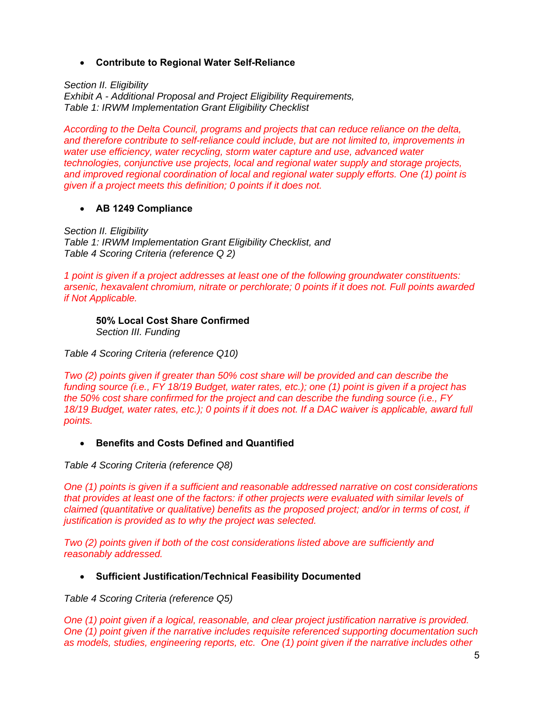**Contribute to Regional Water Self-Reliance** 

*Section II. Eligibility Exhibit A - Additional Proposal and Project Eligibility Requirements, Table 1: IRWM Implementation Grant Eligibility Checklist*

*According to the Delta Council, programs and projects that can reduce reliance on the delta, and therefore contribute to self-reliance could include, but are not limited to, improvements in water use efficiency, water recycling, storm water capture and use, advanced water technologies, conjunctive use projects, local and regional water supply and storage projects, and improved regional coordination of local and regional water supply efforts. One (1) point is given if a project meets this definition; 0 points if it does not.* 

#### **AB 1249 Compliance**

*Section II. Eligibility Table 1: IRWM Implementation Grant Eligibility Checklist, and Table 4 Scoring Criteria (reference Q 2)*

*1 point is given if a project addresses at least one of the following groundwater constituents: arsenic, hexavalent chromium, nitrate or perchlorate; 0 points if it does not. Full points awarded if Not Applicable.* 

**50% Local Cost Share Confirmed**  *Section III. Funding*

*Table 4 Scoring Criteria (reference Q10)*

*Two (2) points given if greater than 50% cost share will be provided and can describe the funding source (i.e., FY 18/19 Budget, water rates, etc.); one (1) point is given if a project has the 50% cost share confirmed for the project and can describe the funding source (i.e., FY*  18/19 Budget, water rates, etc.); 0 points if it does not. If a DAC waiver is applicable, award full *points.* 

#### **Benefits and Costs Defined and Quantified**

*Table 4 Scoring Criteria (reference Q8)* 

*One (1) points is given if a sufficient and reasonable addressed narrative on cost considerations that provides at least one of the factors: if other projects were evaluated with similar levels of claimed (quantitative or qualitative) benefits as the proposed project; and/or in terms of cost, if justification is provided as to why the project was selected.* 

*Two (2) points given if both of the cost considerations listed above are sufficiently and reasonably addressed.* 

#### **Sufficient Justification/Technical Feasibility Documented**

*Table 4 Scoring Criteria (reference Q5)* 

*One (1) point given if a logical, reasonable, and clear project justification narrative is provided. One (1) point given if the narrative includes requisite referenced supporting documentation such as models, studies, engineering reports, etc. One (1) point given if the narrative includes other*